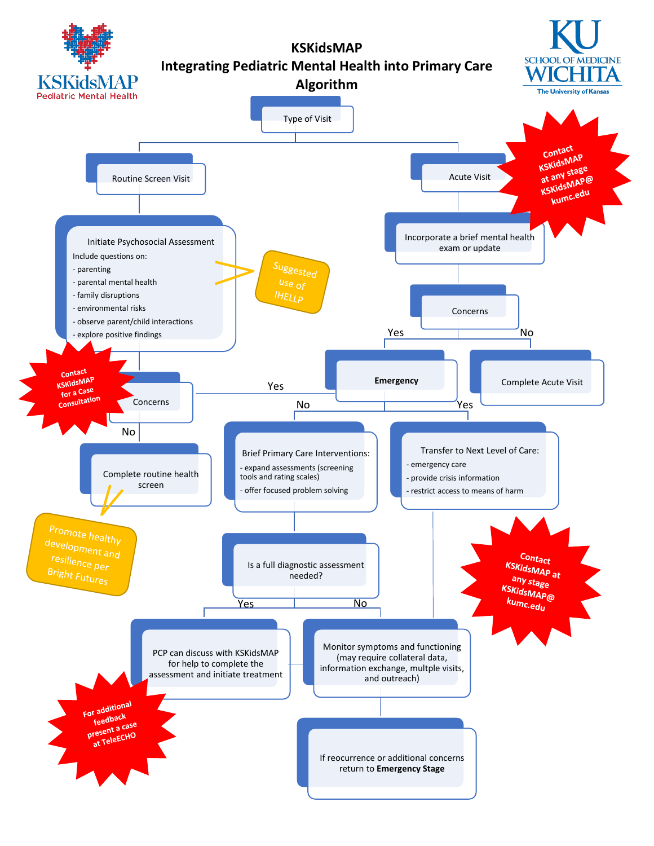